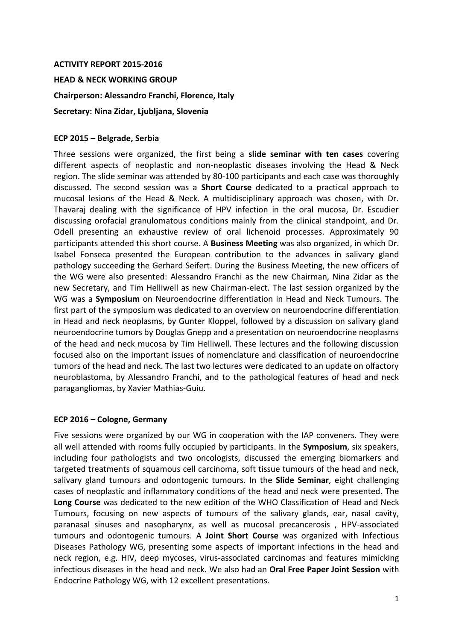## **ACTIVITY REPORT 2015-2016**

**HEAD & NECK WORKING GROUP**

**Chairperson: Alessandro Franchi, Florence, Italy**

**Secretary: Nina Zidar, Ljubljana, Slovenia**

## **ECP 2015 – Belgrade, Serbia**

Three sessions were organized, the first being a **slide seminar with ten cases** covering different aspects of neoplastic and non-neoplastic diseases involving the Head & Neck region. The slide seminar was attended by 80-100 participants and each case was thoroughly discussed. The second session was a **Short Course** dedicated to a practical approach to mucosal lesions of the Head & Neck. A multidisciplinary approach was chosen, with Dr. Thavaraj dealing with the significance of HPV infection in the oral mucosa, Dr. Escudier discussing orofacial granulomatous conditions mainly from the clinical standpoint, and Dr. Odell presenting an exhaustive review of oral lichenoid processes. Approximately 90 participants attended this short course. A **Business Meeting** was also organized, in which Dr. Isabel Fonseca presented the European contribution to the advances in salivary gland pathology succeeding the Gerhard Seifert. During the Business Meeting, the new officers of the WG were also presented: Alessandro Franchi as the new Chairman, Nina Zidar as the new Secretary, and Tim Helliwell as new Chairman-elect. The last session organized by the WG was a **Symposium** on Neuroendocrine differentiation in Head and Neck Tumours. The first part of the symposium was dedicated to an overview on neuroendocrine differentiation in Head and neck neoplasms, by Gunter Kloppel, followed by a discussion on salivary gland neuroendocrine tumors by Douglas Gnepp and a presentation on neuroendocrine neoplasms of the head and neck mucosa by Tim Helliwell. These lectures and the following discussion focused also on the important issues of nomenclature and classification of neuroendocrine tumors of the head and neck. The last two lectures were dedicated to an update on olfactory neuroblastoma, by Alessandro Franchi, and to the pathological features of head and neck paragangliomas, by Xavier Mathias-Guiu.

## **ECP 2016 – Cologne, Germany**

Five sessions were organized by our WG in cooperation with the IAP conveners. They were all well attended with rooms fully occupied by participants. In the **Symposium**, six speakers, including four pathologists and two oncologists, discussed the emerging biomarkers and targeted treatments of squamous cell carcinoma, soft tissue tumours of the head and neck, salivary gland tumours and odontogenic tumours. In the **Slide Seminar**, eight challenging cases of neoplastic and inflammatory conditions of the head and neck were presented. The **Long Course** was dedicated to the new edition of the WHO Classification of Head and Neck Tumours, focusing on new aspects of tumours of the salivary glands, ear, nasal cavity, paranasal sinuses and nasopharynx, as well as mucosal precancerosis , HPV-associated tumours and odontogenic tumours. A **Joint Short Course** was organized with Infectious Diseases Pathology WG, presenting some aspects of important infections in the head and neck region, e.g. HIV, deep mycoses, virus-associated carcinomas and features mimicking infectious diseases in the head and neck. We also had an **Oral Free Paper Joint Session** with Endocrine Pathology WG, with 12 excellent presentations.